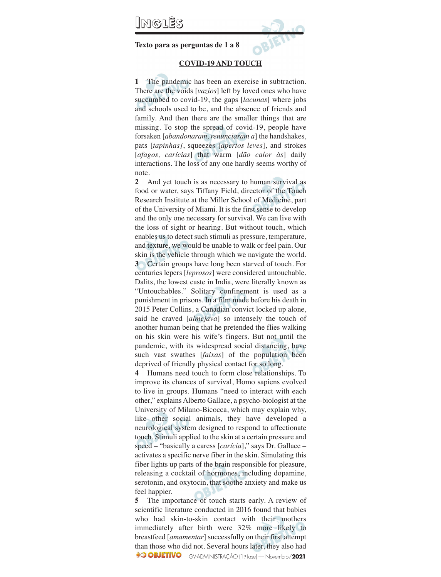## **INGLÊS**

**Texto para as perguntas de 1 a 8**

#### **COVID-19 AND TOUCH**

**1** The pandemic has been an exercise in subtraction. There are the voids [*vazios*] left by loved ones who have succumbed to covid-19, the gaps [*lacunas*] where jobs and schools used to be, and the absence of friends and family. And then there are the smaller things that are missing. To stop the spread of covid-19, people have forsaken [*abandonaram, renunciaram a*] the handshakes, pats [*tapinhas]*, squeezes [*apertos leves*], and strokes [*afagos, carícias*] that warm [*dão calor às*] daily interactions. The loss of any one hardly seems worthy of note.

**2** And yet touch is as necessary to human survival as food or water, says Tiffany Field, director of the Touch Research Institute at the Miller School of Medicine, part of the University of Miami. It is the first sense to develop and the only one necessary for survival. We can live with the loss of sight or hearing. But without touch, which enables us to detect such stimuli as pressure, temperature, and texture, we would be unable to walk or feel pain. Our skin is the vehicle through which we navigate the world. **3** Certain groups have long been starved of touch. For centuries lepers [*leprosos*] were considered untouchable. Dalits, the lowest caste in India, were literally known as "Untouchables." Solitary confinement is used as a punishment in prisons. In a film made before his death in 2015 Peter Collins, a Canadian convict locked up alone, said he craved [*almejava*] so intensely the touch of another human being that he pretended the flies walking on his skin were his wife's fingers. But not until the pandemic, with its widespread social distancing, have such vast swathes [*faixas*] of the population been deprived of friendly physical contact for so long.

**4** Humans need touch to form close relationships. To improve its chances of survival, Homo sapiens evolved to live in groups. Humans "need to interact with each other," explains Alberto Gallace, a psycho-biologist at the University of Milano-Bicocca, which may explain why, like other social animals, they have developed a neurological system designed to respond to affectionate touch. Stimuli applied to the skin at a certain pressure and speed – "basically a caress [*carícia*]," says Dr. Gallace – activates a specific nerve fiber in the skin. Simulating this fiber lights up parts of the brain responsible for pleasure, releasing a cocktail of hormones, including dopamine, serotonin, and oxytocin, that soothe anxiety and make us feel happier.

**5** The importance of touch starts early. A review of scientific literature conducted in 2016 found that babies who had skin-to-skin contact with their mothers immediately after birth were 32% more likely to breastfeed [*amamentar*] successfully on their first attempt than those who did not. Several hours later, they also had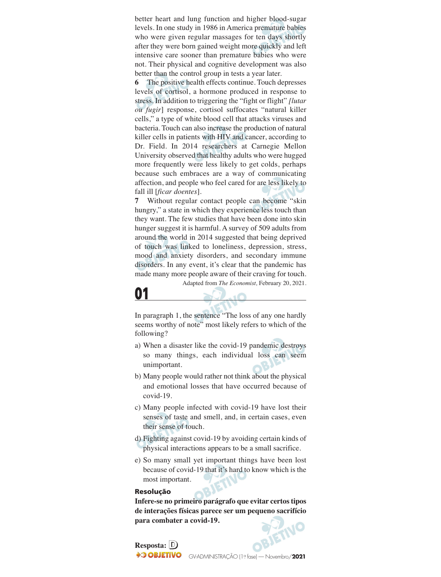better heart and lung function and higher blood-sugar levels. In one study in 1986 in America premature babies who were given regular massages for ten days shortly after they were born gained weight more quickly and left intensive care sooner than premature babies who were not. Their physical and cognitive development was also better than the control group in tests a year later.

**6** The positive health effects continue. Touch depresses levels of cortisol, a hormone produced in response to stress. In addition to triggering the "fight or flight" *[lutar ou fugir*] response, cortisol suffocates "natural killer cells," a type of white blood cell that attacks viruses and bacteria. Touch can also increase the production of natural killer cells in patients with HIV and cancer, according to Dr. Field. In 2014 researchers at Carnegie Mellon University observed that healthy adults who were hugged more frequently were less likely to get colds, perhaps because such embraces are a way of communicating affection, and people who feel cared for are less likely to fall ill [*ficar doentes*].

**7** Without regular contact people can become "skin hungry," a state in which they experience less touch than they want. The few studies that have been done into skin hunger suggest it is harmful. A survey of 509 adults from around the world in 2014 suggested that being deprived of touch was linked to loneliness, depression, stress, mood and anxiety disorders, and secondary immune disorders. In any event, it's clear that the pandemic has made many more people aware of their craving for touch.

Adapted from *The Economist,* February 20, 2021.

## **01**

In paragraph 1, the sentence "The loss of any one hardly seems worthy of note" most likely refers to which of the following?

- a) When a disaster like the covid-19 pandemic destroys so many things, each individual loss can seem unimportant.
- b) Many people would rather not think about the physical and emotional losses that have occurred because of covid-19.
- c) Many people infected with covid-19 have lost their senses of taste and smell, and, in certain cases, even their sense of touch.
- d) Fighting against covid-19 by avoiding certain kinds of physical interactions appears to be a small sacrifice.
- e) So many small yet important things have been lost because of covid-19 that it's hard to know which is the most important.

#### **Resolução**

**Infere-se no primeiro parágrafo que evitar certos tipos de interações físicas parece ser um pequeno sacrifício para combater a covid-19.**

**Resposta: D OBJETIVO**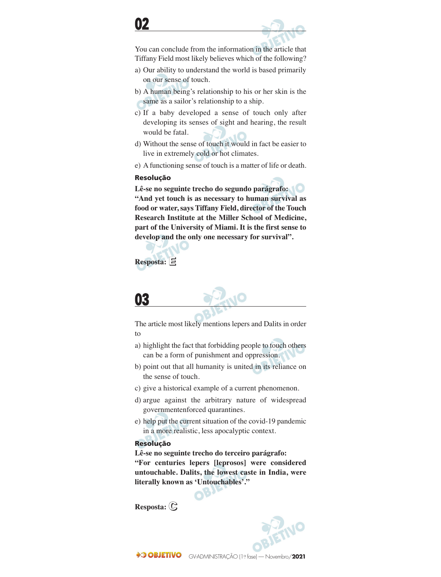You can conclude from the information in the article that Tiffany Field most likely believes which of the following?

- a) Our ability to understand the world is based primarily on our sense of touch.
- b) A human being's relationship to his or her skin is the same as a sailor's relationship to a ship.
- c) If a baby developed a sense of touch only after developing its senses of sight and hearing, the result would be fatal.
- d) Without the sense of touch it would in fact be easier to live in extremely cold or hot climates.
- e) A functioning sense of touch is a matter of life or death.

#### **Resolução**

**Lê-se no seguinte trecho do segundo parágrafo: "And yet touch is as necessary to human survival as food or water, says Tiffany Field, director of the Touch Research Institute at the Miller School of Medicine, part of the University of Miami. It is the first sense to develop and the only one necessary for survival".** 

## **Resposta: E**

## **03**

The article most likely mentions lepers and Dalits in order to

- a) highlight the fact that forbidding people to touch others can be a form of punishment and oppression.
- b) point out that all humanity is united in its reliance on the sense of touch.
- c) give a historical example of a current phenomenon.
- d) argue against the arbitrary nature of widespread governmentenforced quarantines.
- e) help put the current situation of the covid-19 pandemic in a more realistic, less apocalyptic context.

#### **Resolução**

**Lê-se no seguinte trecho do terceiro parágrafo: "For centuries lepers [leprosos] were considered untouchable. Dalits, the lowest caste in India, were literally known as 'Untouchables'."**

**Resposta: C**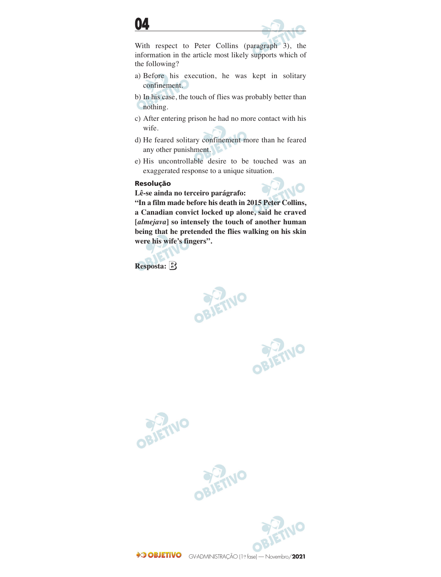



With respect to Peter Collins (paragraph 3), the information in the article most likely supports which of the following?

- a) Before his execution, he was kept in solitary confinement.
- b) In his case, the touch of flies was probably better than nothing.
- c) After entering prison he had no more contact with his wife.
- d) He feared solitary confinement more than he feared any other punishment.
- e) His uncontrollable desire to be touched was an exaggerated response to a unique situation.

#### **Resolução**

**Lê-se ainda no terceiro parágrafo:**

**"In a film made before his death in 2015 Peter Collins, a Canadian convict locked up alone, said he craved [***almejava***] so intensely the touch of another human being that he pretended the flies walking on his skin were his wife's fingers".**

**Resposta: B**

**PIETNO** 

OBJETNO

 $\overline{10}$ 





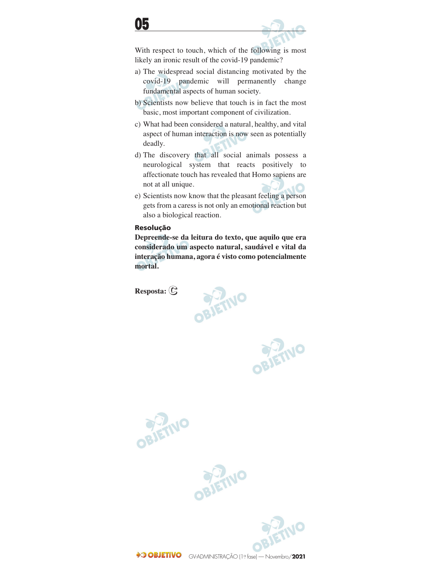With respect to touch, which of the following is most likely an ironic result of the covid-19 pandemic?

- a) The widespread social distancing motivated by the covid-19 pandemic will permanently change fundamental aspects of human society.
- b) Scientists now believe that touch is in fact the most basic, most important component of civilization.
- c) What had been considered a natural, healthy, and vital aspect of human interaction is now seen as potentially deadly.
- d) The discovery that all social animals possess a neurological system that reacts positively to affectionate touch has revealed that Homo sapiens are not at all unique.
- e) Scientists now know that the pleasant feeling a person gets from a caress is not only an emotional reaction but also a biological reaction.

### **Resolução**

**Depreende-se da leitura do texto, que aquilo que era considerado um aspecto natural, saudável e vital da interação humana, agora é visto como potencialmente mortal.**

**Resposta: C**



OBJETNO





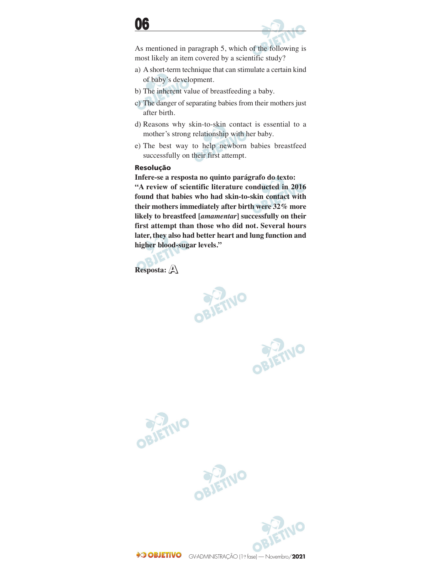

As mentioned in paragraph 5, which of the following is most likely an item covered by a scientific study?

- a) A short-term technique that can stimulate a certain kind of baby's development.
- b) The inherent value of breastfeeding a baby.
- c) The danger of separating babies from their mothers just after birth.
- d) Reasons why skin-to-skin contact is essential to a mother's strong relationship with her baby.
- e) The best way to help newborn babies breastfeed successfully on their first attempt.

### **Resolução**

**Infere-se a resposta no quinto parágrafo do texto: "A review of scientific literature conducted in 2016 found that babies who had skin-to-skin contact with their mothers immediately after birth were 32% more likely to breastfeed [***amamentar***] successfully on their first attempt than those who did not. Several hours later, they also had better heart and lung function and higher blood-sugar levels."**

**Resposta: A**



OBJETNO





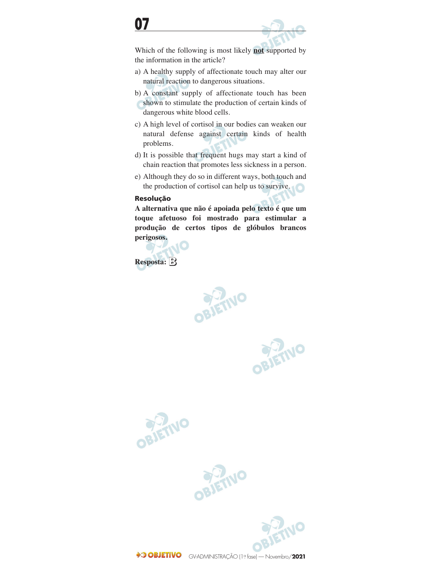

Which of the following is most likely **not** supported by the information in the article?

- a) A healthy supply of affectionate touch may alter our natural reaction to dangerous situations.
- b) A constant supply of affectionate touch has been shown to stimulate the production of certain kinds of dangerous white blood cells.
- c) A high level of cortisol in our bodies can weaken our natural defense against certain kinds of health problems.
- d) It is possible that frequent hugs may start a kind of chain reaction that promotes less sickness in a person.
- e) Although they do so in different ways, both touch and the production of cortisol can help us to survive.

### **Resolução**

**A alternativa que não é apoiada pelo texto é que um toque afetuoso foi mostrado para estimular a produção de certos tipos de glóbulos brancos perigosos.**

**Resposta: B**

BIETINO

OBJETNO







GV-ADMINISTRAÇÃO (1º fase) — Novembro/**2021**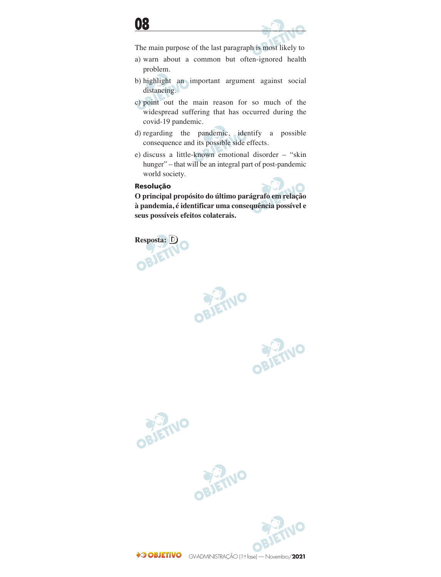



The main purpose of the last paragraph is most likely to

- a) warn about a common but often-ignored health problem.
- b) highlight an important argument against social distancing.
- c) point out the main reason for so much of the widespread suffering that has occurred during the covid-19 pandemic.
- d) regarding the pandemic, identify a possible consequence and its possible side effects.
- e) discuss a little-known emotional disorder "skin hunger" – that will be an integral part of post-pandemic world society.

#### **Resolução**



**O principal propósito do último parágrafo em relação à pandemia, é identificar uma consequência possível e seus possíveis efeitos colaterais.**

**PIETNO** 

**Resposta: D**

OBJETIVO







GV-ADMINISTRAÇÃO (1º fase) — Novembro/**2021**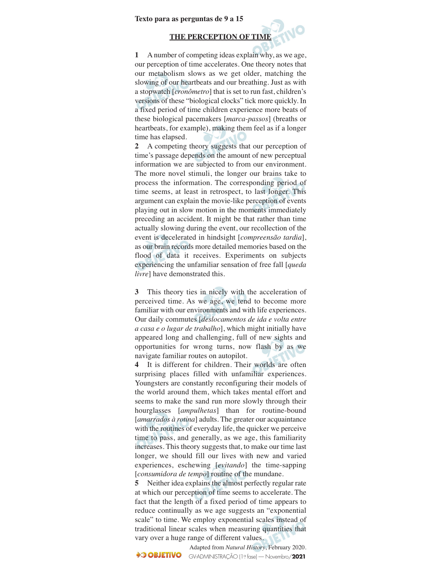#### **Texto para as perguntas de 9 a 15**

#### **THE PERCEPTION OF TIME**

**1** A number of competing ideas explain why, as we age, our perception of time accelerates. One theory notes that our metabolism slows as we get older, matching the slowing of our heartbeats and our breathing. Just as with a stopwatch [*cronômetro*] that is set to run fast, children's versions of these "biological clocks" tick more quickly. In a fixed period of time children experience more beats of these biological pacemakers [*marca-passos*] (breaths or heartbeats, for example), making them feel as if a longer time has elapsed.

**2** A competing theory suggests that our perception of time's passage depends on the amount of new perceptual information we are subjected to from our environment. The more novel stimuli, the longer our brains take to process the information. The corresponding period of time seems, at least in retrospect, to last longer. This argument can explain the movie-like perception of events playing out in slow motion in the moments immediately preceding an accident. It might be that rather than time actually slowing during the event, our recollection of the event is decelerated in hindsight [*compreensão tardia*], as our brain records more detailed memories based on the flood of data it receives. Experiments on subjects experiencing the unfamiliar sensation of free fall [*queda livre*] have demonstrated this.

**3** This theory ties in nicely with the acceleration of perceived time. As we age, we tend to become more familiar with our environments and with life experiences. Our daily commutes [*deslocamentos de ida e volta entre a casa e o lugar de trabalho*], which might initially have appeared long and challenging, full of new sights and opportunities for wrong turns, now flash by as we navigate familiar routes on autopilot.

**4** It is different for children. Their worlds are often surprising places filled with unfamiliar experiences. Youngsters are constantly reconfiguring their models of the world around them, which takes mental effort and seems to make the sand run more slowly through their hourglasses [*ampulhetas*] than for routine-bound [*amarrados à rotina*] adults. The greater our acquaintance with the routines of everyday life, the quicker we perceive time to pass, and generally, as we age, this familiarity increases. This theory suggests that, to make our time last longer, we should fill our lives with new and varied experiences, eschewing [*evitando*] the time-sapping [*consumidora de tempo*] routine of the mundane.

**5** Neither idea explains the almost perfectly regular rate at which our perception of time seems to accelerate. The fact that the length of a fixed period of time appears to reduce continually as we age suggests an "exponential scale" to time. We employ exponential scales instead of traditional linear scales when measuring quantities that vary over a huge range of different values.

Adapted from *Natural History*, February 2020. **OBJETIVO** GV-ADMINISTRAÇÃO (1º fase) — Novembro/**2021**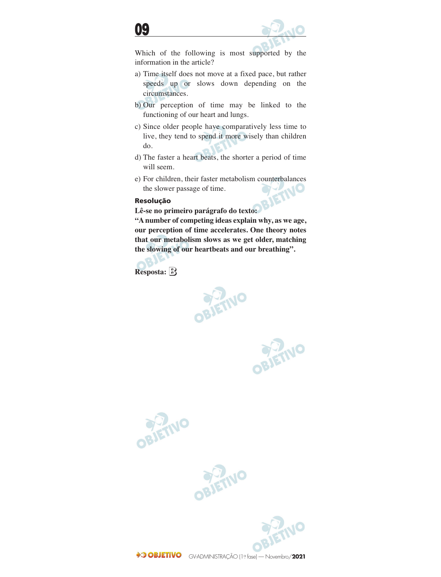



Which of the following is most supported by the information in the article?

- a) Time itself does not move at a fixed pace, but rather speeds up or slows down depending on the circumstances.
- b) Our perception of time may be linked to the functioning of our heart and lungs.
- c) Since older people have comparatively less time to live, they tend to spend it more wisely than children do.
- d) The faster a heart beats, the shorter a period of time will seem.
- e) For children, their faster metabolism counterbalances<br>the slower passage of time.<br>Resolução the slower passage of time.

### **Resolução**

**Lê-se no primeiro parágrafo do texto:**

**"A number of competing ideas explain why, as we age, our perception of time accelerates. One theory notes that our metabolism slows as we get older, matching the slowing of our heartbeats and our breathing".**





OBJETIVO







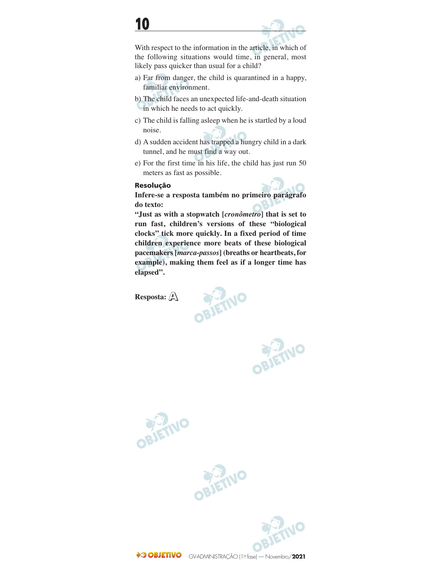

With respect to the information in the article, in which of the following situations would time, in general, most likely pass quicker than usual for a child?

- a) Far from danger, the child is quarantined in a happy, familiar environment.
- b) The child faces an unexpected life-and-death situation in which he needs to act quickly.
- c) The child is falling asleep when he is startled by a loud noise.
- d) A sudden accident has trapped a hungry child in a dark tunnel, and he must find a way out.
- e) For the first time in his life, the child has just run 50 meters as fast as possible.

#### **Resolução**

**Infere-se a resposta também no primeiro parágrafo do texto:**

**"Just as with a stopwatch [***cronômetro***] that is set to run fast, children's versions of these "biological clocks" tick more quickly. In a fixed period of time children experience more beats of these biological pacemakers [***marca-passos***] (breaths or heartbeats, for example), making them feel as if a longer time has elapsed".**

**Resposta: A**



**OBJETIVO** 



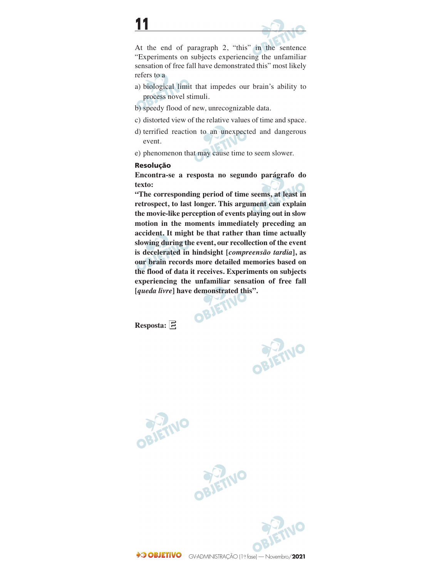



At the end of paragraph 2, "this" in the sentence "Experiments on subjects experiencing the unfamiliar sensation of free fall have demonstrated this" most likely refers to a

- a) biological limit that impedes our brain's ability to process novel stimuli.
- b) speedy flood of new, unrecognizable data.
- c) distorted view of the relative values of time and space.
- d) terrified reaction to an unexpected and dangerous event.
- e) phenomenon that may cause time to seem slower.

#### **Resolução**

**Encontra-se a resposta no segundo parágrafo do texto:**

**"The corresponding period of time seems, at least in retrospect, to last longer. This argument can explain the movie-like perception of events playing out in slow motion in the moments immediately preceding an accident. It might be that rather than time actually slowing during the event, our recollection of the event is decelerated in hindsight [***compreensão tardia***], as our brain records more detailed memories based on the flood of data it receives. Experiments on subjects experiencing the unfamiliar sensation of free fall [***queda livre***] have demonstrated this".**

**Resposta: E**

**PRIETING** 





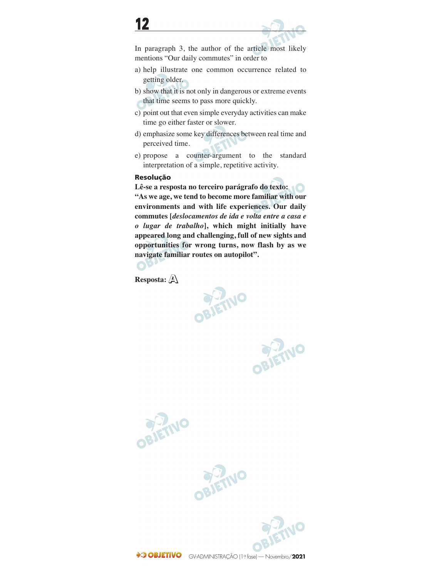In paragraph 3, the author of the article most likely mentions "Our daily commutes" in order to

- a) help illustrate one common occurrence related to getting older.
- b) show that it is not only in dangerous or extreme events that time seems to pass more quickly.
- c) point out that even simple everyday activities can make time go either faster or slower.
- d) emphasize some key differences between real time and perceived time.
- e) propose a counter-argument to the standard interpretation of a simple, repetitive activity.

### **Resolução**

**Lê-se a resposta no terceiro parágrafo do texto: "As we age, we tend to become more familiar with our environments and with life experiences. Our daily commutes [***deslocamentos de ida e volta entre a casa e o lugar de trabalho***], which might initially have appeared long and challenging, full of new sights and opportunities for wrong turns, now flash by as we navigate familiar routes on autopilot".**

**PIETINO** 

**Resposta: A**

OBJETNO





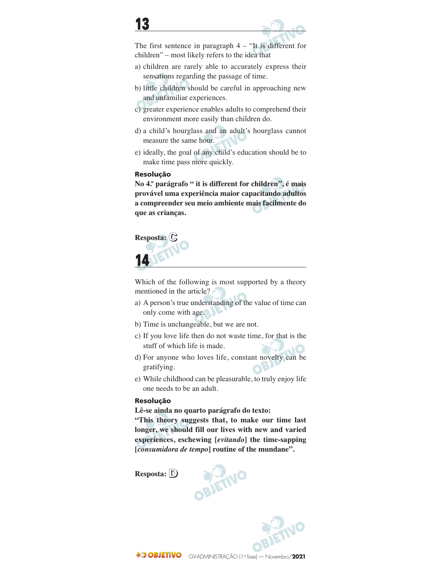



The first sentence in paragraph 4 – "It is different for children" – most likely refers to the idea that

- a) children are rarely able to accurately express their sensations regarding the passage of time.
- b) little children should be careful in approaching new and unfamiliar experiences.
- c) greater experience enables adults to comprehend their environment more easily than children do.
- d) a child's hourglass and an adult's hourglass cannot measure the same hour.
- e) ideally, the goal of any child's education should be to make time pass more quickly.

#### **Resolução**

**No 4.º parágrafo " it is different for children", é mais provável uma experiência maior capacitando adultos a compreender seu meio ambiente mais facilmente do que as crianças.**



Which of the following is most supported by a theory mentioned in the article?

- a) A person's true understanding of the value of time can only come with age.
- b) Time is unchangeable, but we are not.
- c) If you love life then do not waste time, for that is the stuff of which life is made.
- d) For anyone who loves life, constant novelty can be gratifying.
- e) While childhood can be pleasurable, to truly enjoy life one needs to be an adult.

### **Resolução**

**Lê-se ainda no quarto parágrafo do texto:**

**"This theory suggests that, to make our time last longer, we should fill our lives with new and varied experiences, eschewing [***evitando***] the time-sapping [***consumidora de tempo***] routine of the mundane".**

**Resposta: D**



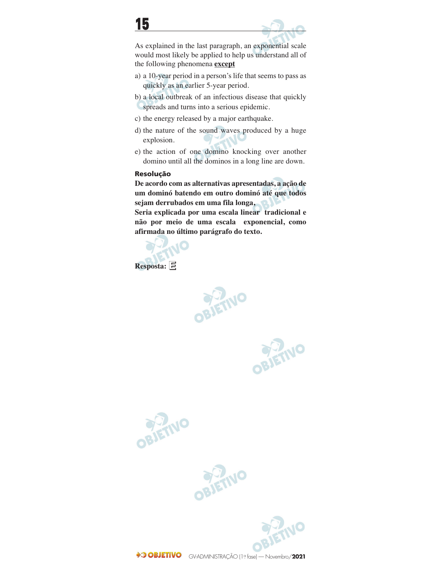

As explained in the last paragraph, an exponential scale would most likely be applied to help us understand all of the following phenomena **except**

a) a 10-year period in a person's life that seems to pass as quickly as an earlier 5-year period.

b) a local outbreak of an infectious disease that quickly spreads and turns into a serious epidemic.

- c) the energy released by a major earthquake.
- d) the nature of the sound waves produced by a huge explosion.
- e) the action of one domino knocking over another domino until all the dominos in a long line are down.

### **Resolução**

**De acordo com as alternativas apresentadas, a ação de um dominó batendo em outro dominó até que todos sejam derrubados em uma fila longa,**

**Seria explicada por uma escala linear tradicional e não por meio de uma escala exponencial, como afirmada no último parágrafo do texto.**

**Resposta: E**

BIETIVO

OBJETNO







GV-ADMINISTRAÇÃO (1º fase) — Novembro/**2021**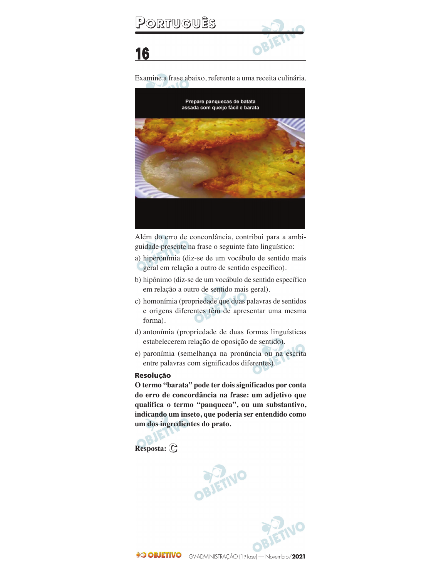

Examine a frase abaixo, referente a uma receita culinária.



Além do erro de concordância, contribui para a ambi guidade presente na frase o seguinte fato linguístico:

- a) hiperonímia (diz-se de um vocábulo de sentido mais geral em relação a outro de sentido específico).
- b) hipônimo (diz-se de um vocábulo de sentido específico em relação a outro de sentido mais geral).
- c) homonímia (propriedade que duas palavras de sentidos e origens diferentes têm de apresentar uma mesma forma).
- d) antonímia (propriedade de duas formas linguísticas estabelecerem relação de oposição de sentido).
- e) paronímia (semelhança na pronúncia ou na escrita entre palavras com significados diferentes).

#### **Resolução**

**O termo "barata" pode ter dois significados por conta do erro de concordância na frase: um adjetivo que qualifica o termo "panqueca", ou um substantivo, indicando um inseto, que poderia ser entendido como um dos ingredientes do prato.**





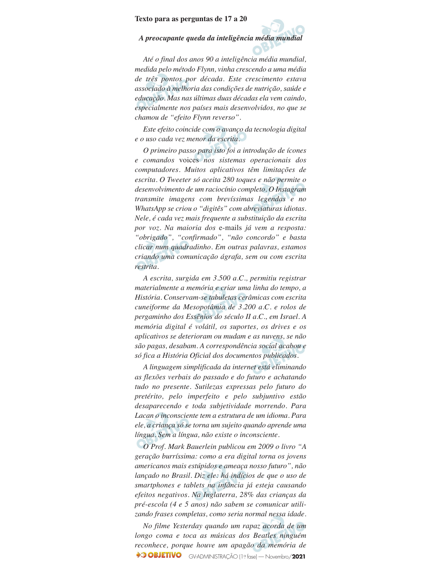#### **Texto para as perguntas de 17 a 20**

#### *A preocupante queda da inteligência média mundial*

*Até o final dos anos 90 a inteligência média mundial, medida pelo método Flynn, vinha crescendo a uma média de três pontos por década. Este crescimento estava associado à melhoria das condições de nutrição, saúde e educação. Mas nas últimas duas décadas ela vem caindo, especialmente nos países mais desenvolvidos, no que se chamou de "efeito Flynn reverso".*

*Este efeito coincide com o avanço da tecnologia digital e o uso cada vez menor da escrita.*

*O primeiro passo para isto foi a introdução de ícones e comandos* voices *nos sistemas operacionais dos computadores. Muitos aplicativos têm limitações de escrita. O Tweeter só aceita 280 toques e não permite o desenvolvimento de um raciocínio completo. O Instagram transmite imagens com brevíssimas legendas e no WhatsApp se criou o "digitês" com abreviaturas idiotas. Nele, é cada vez mais frequente a substituição da escrita por voz. Na maioria dos* e-mails *já vem a resposta: "obrigado", "confirmado", "não concordo" e basta clicar num quadradinho. Em outras palavras, estamos criando uma comunicação ágrafa, sem ou com escrita restrita.*

*A escrita, surgida em 3.500 a.C., permitiu registrar materialmente a memória e criar uma linha do tempo, a História. Conservam-se tabuletas cerâmicas com escrita cuneiforme da Mesopotâmia de 3.200 a.C. e rolos de pergaminho dos Essênios do século II a.C., em Israel. A memória digital é volátil, os suportes, os drives e os aplicativos se deterioram ou mudam e as nuvens, se não são pagas, desabam. A correspondência social acabou e só fica a História Oficial dos documentos publicados.*

*A linguagem simplificada da internet está eliminando as flexões verbais do passado e do futuro e achatando tudo no presente. Sutilezas expressas pelo futuro do pretérito, pelo imperfeito e pelo subjuntivo estão desaparecendo e toda subjetividade morrendo. Para Lacan o inconsciente tem a estrutura de um idioma. Para ele, a criança só se torna um sujeito quando aprende uma língua. Sem a língua, não existe o inconsciente.*

*O Prof. Mark Bauerlein publicou em 2009 o livro "A geração burríssima: como a era digital torna os jovens americanos mais estúpidos e ameaça nosso futuro", não lançado no Brasil. Diz ele: há indícios de que o uso de smartphones e tablets na infância já esteja causando efeitos negativos. Na Inglaterra, 28% das crianças da pré-escola (4 e 5 anos) não sabem se comunicar utili zando frases completas, como seria normal nessa idade.*

*No filme Yesterday quando um rapaz acorda de um longo coma e toca as músicas dos Beatles ninguém reconhece, porque houve um apagão da memória de* GV-ADMINISTRAÇÃO (1º fase) — Novembro/**2021**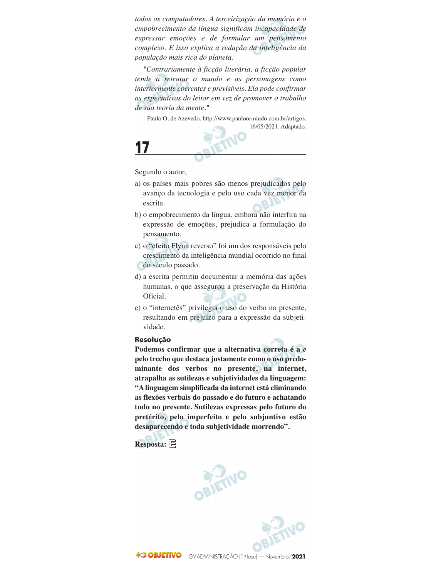*todos os computadores. A terceirização da memória e o empobrecimento da língua significam incapacidade de expressar emoções e de formular um pensamento complexo. E isso explica a redução da inteligência da população mais rica do planeta.*

*"Contrariamente à ficção literária, a ficção popular tende a retratar o mundo e as personagens como interiormente coerentes e previsíveis. Ela pode confirmar as expectativas do leitor em vez de promover o trabalho de sua teoria da mente."*

Paulo O. de Azevedo, http://www.pauloormindo.com.br/artigos, 16/05/2021. Adaptado.



Segundo o autor,

**17**

- a) os países mais pobres são menos prejudicados pelo avanço da tecnologia e pelo uso cada vez menor da escrita.
- b) o empobrecimento da língua, embora não interfira na expressão de emoções, prejudica a formulação do pensamento.
- c) o "efeito Flynn reverso" foi um dos responsáveis pelo crescimento da inteligência mundial ocorrido no final do século passado.
- d) a escrita permitiu documentar a memória das ações humanas, o que assegurou a preservação da História Oficial.
- e) o "internetês" privilegia o uso do verbo no presente, resultando em prejuízo para a expressão da subjeti vidade.

#### **Resolução**

**Podemos confirmar que a alternativa correta é a** *e* **pelo trecho que destaca justamente como o uso predo minante dos verbos no presente, na internet, atrapalha as sutilezas e subjetividades da linguagem: "A lingua gem simplificada da internet está eliminando as fle xões verbais do passado e do futuro e achatando tudo no presente. Sutilezas expressas pelo futuro do pre térito, pelo imperfeito e pelo subjuntivo estão desapare cendo e toda subjetividade morrendo".**

**Resposta: E**



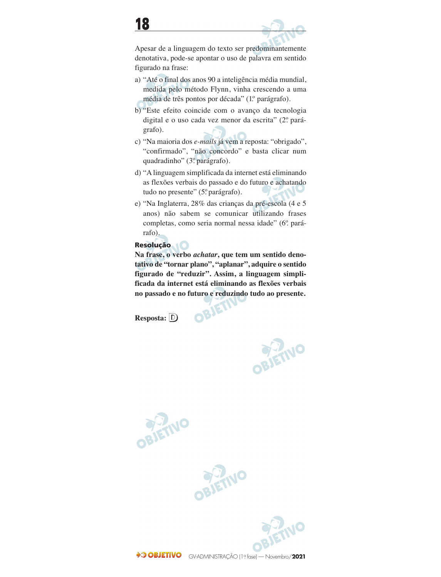Apesar de a linguagem do texto ser predominantemente denotativa, pode-se apontar o uso de palavra em sentido figurado na frase:

- a) "Até o final dos anos 90 a inteligência média mundial, medida pelo método Flynn, vinha crescendo a uma média de três pontos por década" (1º. parágrafo).
- b) "Este efeito coincide com o avanço da tecnologia digital e o uso cada vez menor da escrita" (2º parágrafo).
- c) "Na maioria dos *e-mails* já vem a reposta: "obrigado", "confirmado", "não concordo" e basta clicar num quadradinho" (3º. parágrafo).
- d) "A linguagem simplificada da internet está eliminando as flexões verbais do passado e do futuro e achatando tudo no presente" (5º parágrafo).
- e) "Na Inglaterra, 28% das crianças da pré-escola (4 e 5 anos) não sabem se comunicar utilizando frases completas, como seria normal nessa idade" (6º. pará rafo).

### **Resolução**

**Na frase, o verbo** *achatar***, que tem um sentido deno tativo de "tornar plano", "aplanar", adquire o sentido figurado de "reduzir". Assim, a linguagem simpli ficada da internet está eliminando as flexões verbais no passado e no futuro e reduzindo tudo ao presente.**

OBJET

**Resposta: D**





**OBJETIVO** 

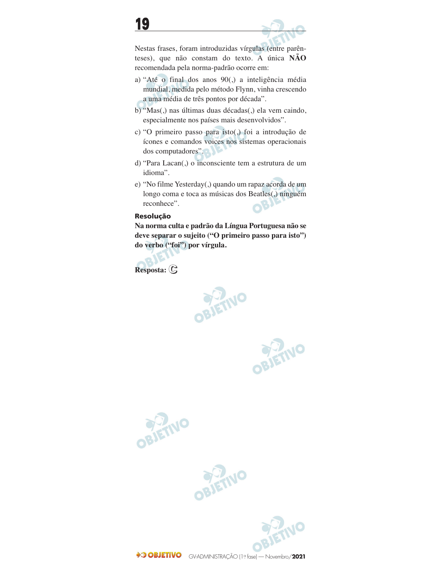



Nestas frases, foram introduzidas vírgulas (entre parên teses), que não constam do texto. A única **NÃO** recomendada pela norma-padrão ocorre em:

- a) "Até o final dos anos 90(,) a inteligência média mundial, medida pelo método Flynn, vinha crescendo a uma média de três pontos por década".
- b) "Mas(,) nas últimas duas décadas(,) ela vem caindo, especialmente nos países mais desenvolvidos".
- c) "O primeiro passo para isto(,) foi a introdução de ícones e comandos voices nos sistemas operacionais dos computadores".
- d) "Para Lacan(,) o inconsciente tem a estrutura de um idioma".
- e) "No filme Yesterday(,) quando um rapaz acorda de um longo coma e toca as músicas dos Beatles(,) ninguém reconhece". J.

### **Resolução**

**Na norma culta e padrão da Língua Portuguesa não se deve separar o sujeito ("O primeiro passo para isto") do verbo ("foi") por vírgula.** 

**Resposta: C**



OBJETNO





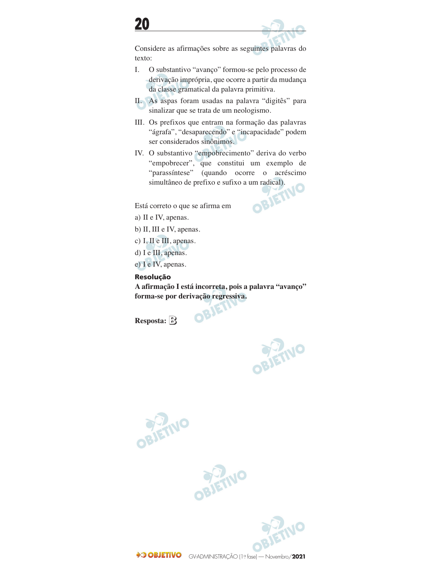

Considere as afirmações sobre as seguintes palavras do texto:

- I. O substantivo "avanço" formou-se pelo processo de derivação imprópria, que ocorre a partir da mudança da classe gramatical da palavra primitiva.
- II. As aspas foram usadas na palavra "digitês" para sinalizar que se trata de um neologismo.
- III. Os prefixos que entram na formação das palavras "ágrafa", "desaparecendo" e "incapacidade" podem ser considerados sinônimos.
- IV. O substantivo "empobrecimento" deriva do verbo "empobrecer", que constitui um exemplo de "parassíntese" (quando ocorre o acréscimo simultâneo de prefixo e sufixo a um radical).<br>correto o que se afirma em

Está correto o que se afirma em



a) II e IV, apenas.

b) II, III e IV, apenas.

c) I, II e III, apenas.

d) I e III, apenas.

e) I e IV, apenas.

**Resolução**

**A afirmação I está incorreta, pois a palavra "avanço" forma-se por derivação regressiva.** 

**Resposta: B**







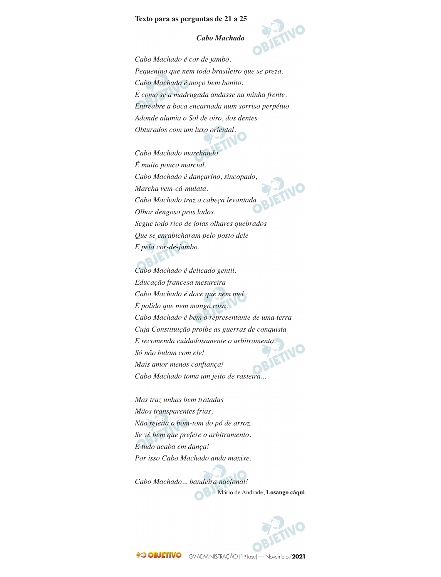#### **Texto para as perguntas de 21 a 25**

#### *Cabo Machado*



*Cabo Machado é cor de jambo. Pequenino que nem todo brasileiro que se preza. Cabo Machado é moço bem bonito. É como se a madrugada andasse na minha frente. Entreabre a boca encarnada num sorriso perpétuo Adonde alumia o Sol de oiro, dos dentes Obturados com um luxo oriental.*

*Cabo Machado marchando É muito pouco marcial. Cabo Machado é dançarino, sincopado, Marcha vem-cá-mulata. Cabo Machado traz a cabeça levantada Olhar dengoso pros lados. Segue todo rico de joias olhares quebrados Que se enrabicharam pelo posto dele E pela cor-de-jambo.*

*Cabo Machado é delicado gentil. Educação francesa mesureira Cabo Machado é doce que nem mel É polido que nem manga rosa. Cabo Machado é bem o representante de uma terra Cuja Constituição proíbe as guerras de conquista E recomenda cuidadosamente o arbitramento.*<br>Só não bulam com ele!<br>Mais amor menos se são completa de la proprieta de la proprieta de la proprieta de la proprieta de la proprie *Só não bulam com ele! Mais amor menos confiança! Cabo Machado toma um jeito de rasteira...*

*Mas traz unhas bem tratadas Mãos transparentes frias, Não rejeita o bom-tom do pó de arroz. Se vê bem que prefere o arbitramento. E tudo acaba em dança! Por isso Cabo Machado anda maxixe.*

*Cabo Machado... bandeira nacional!* Mário de Andrade, **Losango cáqui**.

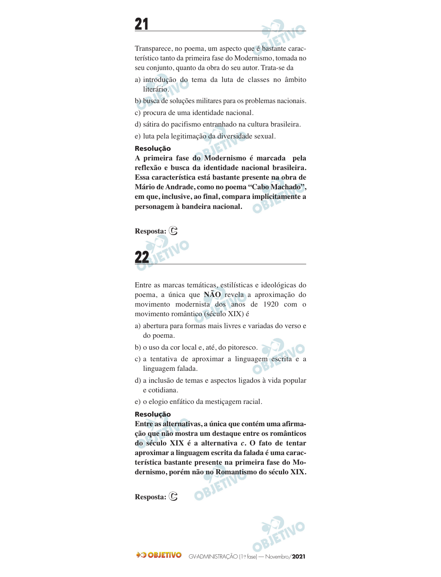Transparece, no poema, um aspecto que é bastante carac terístico tanto da primeira fase do Modernismo, tomada no seu conjunto, quanto da obra do seu autor. Trata-se da

- a) introdução do tema da luta de classes no âmbito literário.
- b) busca de soluções militares para os problemas nacionais.
- c) procura de uma identidade nacional.
- d) sátira do pacifismo entranhado na cultura brasileira.
- e) luta pela legitimação da diversidade sexual.

#### **Resolução**

**A primeira fase do Modernismo é marcada pela reflexão e busca da identidade nacional brasileira. Essa característica está bastante presente na obra de Mário de Andrade, como no poema "Cabo Machado", em que, inclusive, ao final, compara implicitamente a personagem à bandeira nacional.**



Entre as marcas temáticas, estilísticas e ideológicas do poema, a única que **NÃO** revela a aproximação do movimento modernista dos anos de 1920 com o movimento romântico (século XIX) é

- a) abertura para formas mais livres e variadas do verso e do poema.
- b) o uso da cor local e, até, do pitoresco.
- c) a tentativa de aproximar a linguagem escrita e a linguagem falada.
- d) a inclusão de temas e aspectos ligados à vida popular e cotidiana.
- e) o elogio enfático da mestiçagem racial.

### **Resolução**

**Entre as alternativas, a única que contém uma afirma ção que não mostra um destaque entre os românticos do século XIX é a alternativa** *c***. O fato de tentar aproximar a linguagem escrita da falada é uma carac terística bastante presente na primeira fase do Mo dernismo, porém não no Romantismo do século XIX.**

OBJET

**Resposta: C**

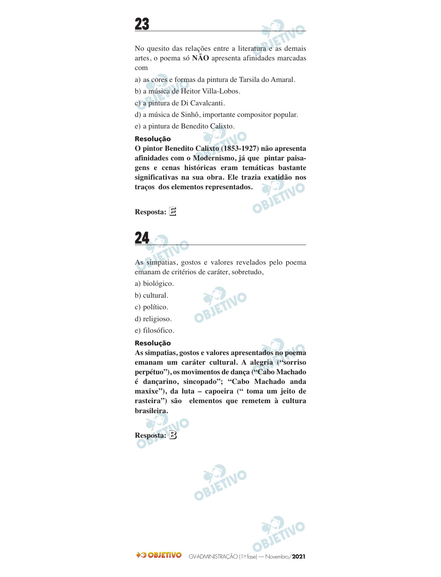

No quesito das relações entre a literatura e as demais artes, o poema só **NÃO** apresenta afinidades marcadas com

- a) as cores e formas da pintura de Tarsila do Amaral.
- b) a música de Heitor Villa-Lobos.
- c) a pintura de Di Cavalcanti.
- d) a música de Sinhô, importante compositor popular.
- e) a pintura de Benedito Calixto.

#### **Resolução**

**O pintor Benedito Calixto (1853-1927) não apresenta afinidades com o Modernismo, já que pintar paisa gens e cenas históricas eram temáticas bastante significativas na sua obra. Ele trazia exatidão nos traços dos elementos representados.**<br>Resposta:  $\boxed{5}$ **traços dos elementos representados.** 

**Resposta: E**



As simpatias, gostos e valores revelados pelo poema emanam de critérios de caráter, sobretudo,

- a) biológico.
- b) cultural.
- c) político.
- d) religioso.
- e) filosófico.

### **Resolução**

**As simpatias, gostos e valores apresentados no poema emanam um caráter cultural. A alegria ("sorriso perpétuo"), os movimentos de dança ("Cabo Machado é dançarino, sincopado"; "Cabo Machado anda maxixe"), da luta – capoeira (" toma um jeito de rasteira") são elementos que remetem à cultura brasileira.**





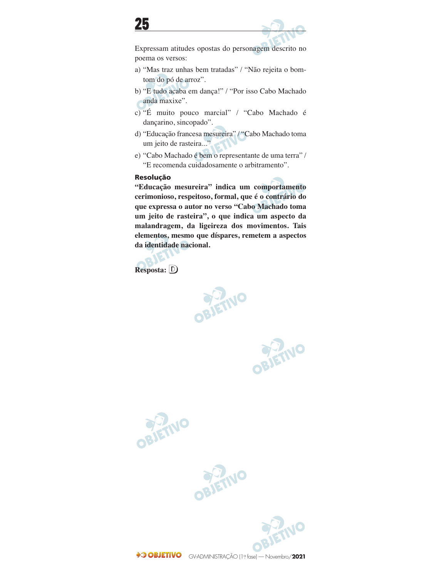

Expressam atitudes opostas do personagem descrito no poema os versos:

- a) "Mas traz unhas bem tratadas" / "Não rejeita o bomtom do pó de arroz".
- b) "E tudo acaba em dança!" / "Por isso Cabo Machado anda maxixe".
- c) "É muito pouco marcial" / "Cabo Machado é dançarino, sincopado".
- d) "Educação francesa mesureira" / "Cabo Machado toma um jeito de rasteira..."
- e) "Cabo Machado é bem o representante de uma terra" / "E recomenda cuidadosamente o arbitramento".

### **Resolução**

**"Educação mesureira" indica um comportamento cerimonioso, respeitoso, formal, que é o contrário do que expressa o autor no verso "Cabo Machado toma um jeito de rasteira", o que indica um aspecto da malandragem, da ligeireza dos movimentos. Tais elementos, mesmo que díspares, remetem a aspectos da identidade nacional.**

**Resposta: D**











GV-ADMINISTRAÇÃO (1º fase) — Novembro/**2021**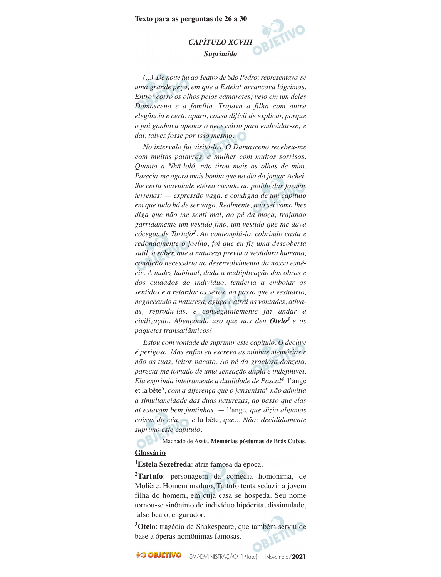#### **Texto para as perguntas de 26 a 30**

## *CAPÍTULO XCVIII Suprimido*

*(...). De noite fui ao Teatro de São Pedro; representava-se uma grande peça, em que a Estela1 arrancava lágrimas. Entro; corro os olhos pelos camarotes; vejo em um deles Damasceno e a família. Trajava a filha com outra elegância e certo apuro, cousa difícil de explicar, porque o pai ganhava apenas o necessário para endividar-se; e daí, talvez fosse por isso mesmo.*

*No intervalo fui visitá-los. O Damasceno recebeu-me com muitas palavras, a mulher com muitos sorrisos. Quanto a Nhã-loló, não tirou mais os olhos de mim. Parecia-me agora mais bonita que no dia do jantar. Acheilhe certa suavidade etérea casada ao polido das formas terrenas: — expressão vaga, e condigna de um capítulo em que tudo há de ser vago. Realmente, não sei como lhes diga que não me senti mal, ao pé da moça, trajando garridamente um vestido fino, um vestido que me dava cócegas de Tartufo2. Ao contemplá-lo, cobrindo casta e redondamente o joelho, foi que eu fiz uma descoberta sutil, a saber, que a natureza previu a vestidura humana, condição necessária ao desenvolvimento da nossa espé cie. A nudez habitual, dada a multiplicação das obras e dos cuidados do indivíduo, tenderia a embotar os sentidos e a retardar os sexos, ao passo que o vestuário, nega ceando a natureza, aguça e atrai as vontades, ativaas, reprodu-las, e conseguintemente faz andar a civilização. Abençoado uso que nos deu Otelo<sup>3</sup> e os paquetes transatlânticos!*

*Estou com vontade de suprimir este capítulo. O declive é perigoso. Mas enfim eu escrevo as minhas memórias e não as tuas, leitor pacato. Ao pé da graciosa donzela, parecia-me tomado de uma sensação dupla e indefinível. Ela exprimia inteiramente a dualidade de Pascal4,* l'ange et la bête*5, com a diferença que o jansenista6 não admitia a simultaneidade das duas naturezas, ao passo que elas aí estavam bem juntinhas, —* l'ange*, que dizia algumas coisas do céu, — e* la bête, *que... Não; decididamente suprimo este capítulo.*

Machado de Assis, **Memórias póstumas de Brás Cubas**. **Glossário**

**1Estela Sezefreda**: atriz famosa da época.

**2Tartufo**: personagem da comédia homônima, de Molière. Homem maduro, Tartufo tenta seduzir a jovem filha do homem, em cuja casa se hospeda. Seu nome tornou-se sinônimo de indivíduo hipócrita, dissimulado, falso beato, enganador.

**3Otelo**: tragédia de Shakespeare, que também serviu de base a óperas homônimas famosas.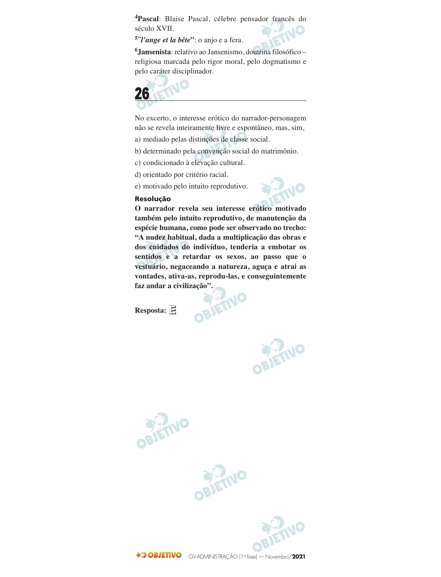**4Pascal**: Blaise Pascal, célebre pensador francês do século XVII.

**5"***l'ange et la bête***"**: o anjo e a fera.

**6Jansenista**: relativo ao Jansenismo, doutrina filosófico – religiosa marcada pelo rigor moral, pelo dogmatismo e pelo caráter disciplinador.



No excerto, o interesse erótico do narrador-personagem não se revela inteiramente livre e espontâneo, mas, sim,

- a) mediado pelas distinções de classe social.
- b) determinado pela convenção social do matrimônio.
- c) condicionado à elevação cultural.
- d) orientado por critério racial.
- e) motivado pelo intuito reprodutivo.

#### **Resolução**



**O narrador revela seu interesse erótico motivado também pelo intuito reprodutivo, de manutenção da espécie humana, como pode ser observado no trecho: "A nudez habitual, dada a multiplicação das obras e dos cuidados do indivíduo, tenderia a embotar os sentidos e a retardar os sexos, ao passo que o vestuário, negaceando a natureza, aguça e atrai as vontades, ativa-as, reprodu-las, e conseguintemente faz andar a civilização".**

**Resposta: E**

OBJETIVO



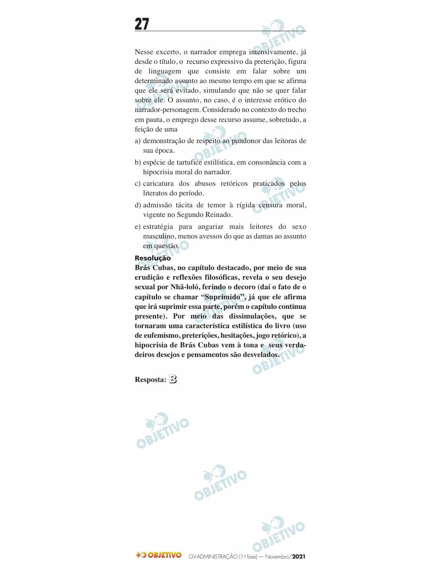

Nesse excerto, o narrador emprega intensivamente, já desde o título, o recurso expressivo da preterição, figura de linguagem que consiste em falar sobre um determinado assunto ao mesmo tempo em que se afirma que ele será evitado, simulando que não se quer falar sobre ele. O assunto, no caso, é o interesse erótico do narrador-personagem. Considerado no contexto do trecho em pauta, o emprego desse recurso assume, sobretudo, a feição de uma

- a) demonstração de respeito ao pundonor das leitoras de sua época.
- b) espécie de tartufice estilística, em consonância com a hipocrisia moral do narrador.
- c) caricatura dos abusos retóricos praticados pelos literatos do período.
- d) admissão tácita de temor à rígida censura moral, vigente no Segundo Reinado.
- e) estratégia para angariar mais leitores do sexo masculino, menos avessos do que as damas ao assunto em questão.

### **Resolução**

**Brás Cubas, no capítulo destacado, por meio de sua erudição e reflexões filosóficas, revela o seu desejo sexual por Nhã-loló, ferindo o decoro (daí o fato de o capítulo se chamar "Suprimido", já que ele afirma que irá suprimir essa parte, porém o capítulo continua presente). Por meio das dissimulações, que se tornaram uma característica estilística do livro (uso de eufemismo, preterições, hesitações, jogo retórico), a hipocrisia de Brás Cubas vem à tona e seus verda deiros desejos e pensamentos são desvelados.** 

Resposta: **B** 

OBJETNO



 $\mathcal{N}$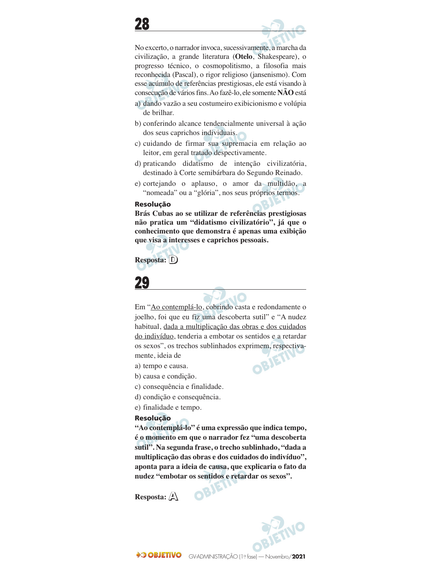



No excerto, o narrador invoca, sucessivamente, a marcha da civilização, a grande literatura (**Otelo**, Shakespeare), o progresso técnico, o cosmopolitismo, a filosofia mais reconhecida (Pascal), o rigor religioso (jansenismo). Com esse acúmulo de referências prestigiosas, ele está visando à consecução de vários fins. Ao fazê-lo, ele somente **NÃO** está

- a) dando vazão a seu costumeiro exibicionismo e volúpia de brilhar.
- b) conferindo alcance tendencialmente universal à ação dos seus caprichos individuais.
- c) cuidando de firmar sua supremacia em relação ao leitor, em geral tratado despectivamente.
- d) praticando didatismo de intenção civilizatória, destinado à Corte semibárbara do Segundo Reinado.
- e) cortejando o aplauso, o amor da multidão, a "nomeada" ou a "glória", nos seus próprios termos.

#### **Resolução**

**Brás Cubas ao se utilizar de referências prestigiosas não pratica um "didatismo civilizatório", já que o conhecimento que demonstra é apenas uma exibição que visa a interesses e caprichos pessoais.**

**Resposta: D**



Em "Ao contemplá-lo, cobrindo casta e redondamente o joelho, foi que eu fiz uma descoberta sutil" e "A nudez habitual, dada a multiplicação das obras e dos cuidados do indivíduo, tenderia a embotar os sentidos e a retardar os sexos", os trechos sublinhados exprimem, respectiva mente, ideia de **SIE** 

- a) tempo e causa.
- b) causa e condição.
- c) consequência e finalidade.
- d) condição e consequência.
- e) finalidade e tempo.

#### **Resolução**

**"Ao contemplá-lo" é uma expressão que indica tempo, é o momento em que o narrador fez "uma descoberta sutil". Na segunda frase, o trecho sublinhado, "dada a multiplicação das obras e dos cuidados do indivíduo", aponta para a ideia de causa, que explicaria o fato da nudez "embotar os sentidos e retardar os sexos".** 

**Resposta: A**